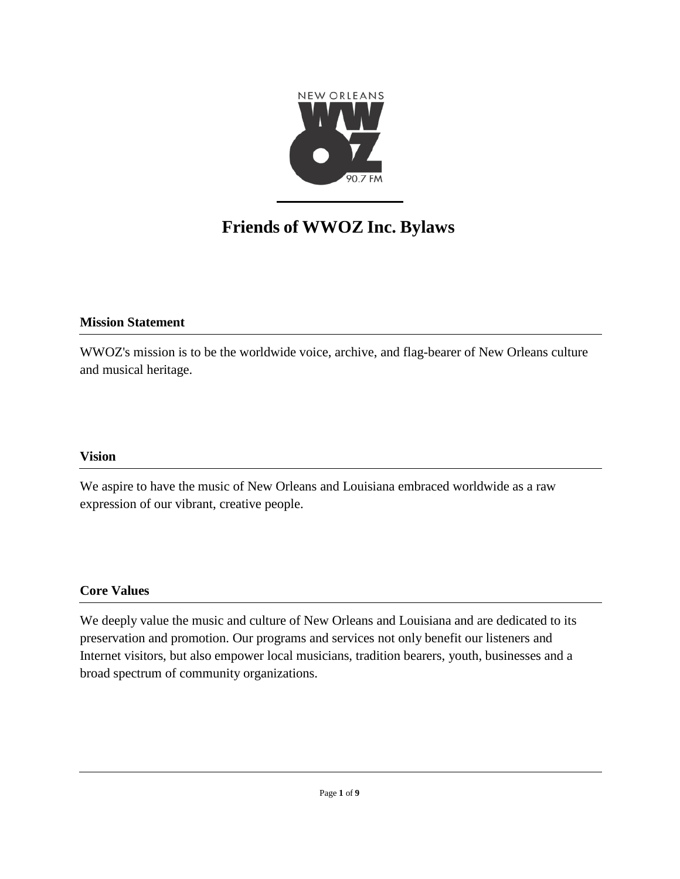

# **Friends of WWOZ Inc. Bylaws**

# **Mission Statement**

WWOZ's mission is to be the worldwide voice, archive, and flag-bearer of New Orleans culture and musical heritage.

# **Vision**

We aspire to have the music of New Orleans and Louisiana embraced worldwide as a raw expression of our vibrant, creative people.

# **Core Values**

We deeply value the music and culture of New Orleans and Louisiana and are dedicated to its preservation and promotion. Our programs and services not only benefit our listeners and Internet visitors, but also empower local musicians, tradition bearers, youth, businesses and a broad spectrum of community organizations.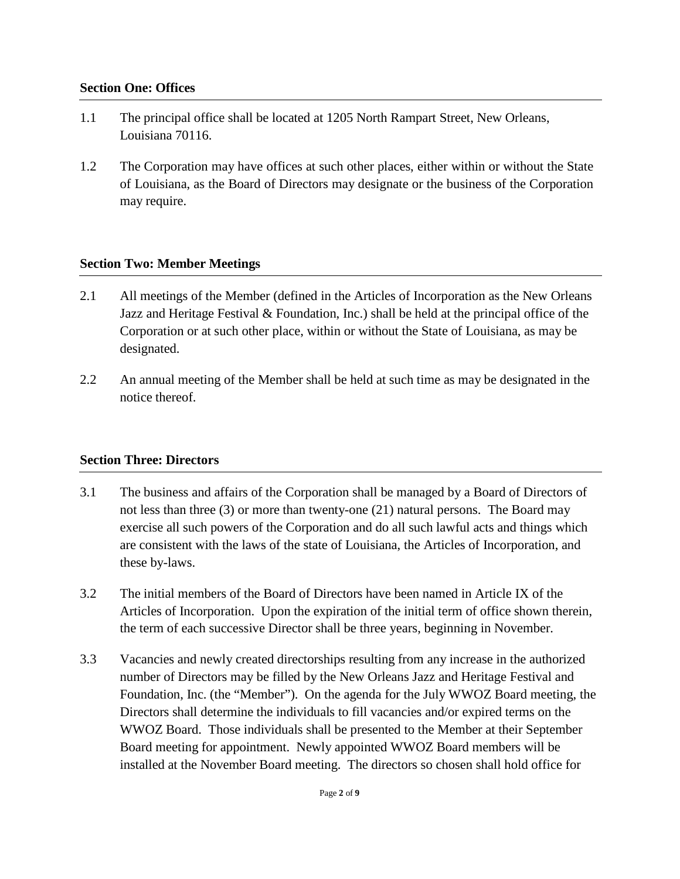#### **Section One: Offices**

- 1.1 The principal office shall be located at 1205 North Rampart Street, New Orleans, Louisiana 70116.
- 1.2 The Corporation may have offices at such other places, either within or without the State of Louisiana, as the Board of Directors may designate or the business of the Corporation may require.

# **Section Two: Member Meetings**

- 2.1 All meetings of the Member (defined in the Articles of Incorporation as the New Orleans Jazz and Heritage Festival & Foundation, Inc.) shall be held at the principal office of the Corporation or at such other place, within or without the State of Louisiana, as may be designated.
- 2.2 An annual meeting of the Member shall be held at such time as may be designated in the notice thereof.

# **Section Three: Directors**

- 3.1 The business and affairs of the Corporation shall be managed by a Board of Directors of not less than three (3) or more than twenty-one (21) natural persons. The Board may exercise all such powers of the Corporation and do all such lawful acts and things which are consistent with the laws of the state of Louisiana, the Articles of Incorporation, and these by-laws.
- 3.2 The initial members of the Board of Directors have been named in Article IX of the Articles of Incorporation. Upon the expiration of the initial term of office shown therein, the term of each successive Director shall be three years, beginning in November.
- 3.3 Vacancies and newly created directorships resulting from any increase in the authorized number of Directors may be filled by the New Orleans Jazz and Heritage Festival and Foundation, Inc. (the "Member"). On the agenda for the July WWOZ Board meeting, the Directors shall determine the individuals to fill vacancies and/or expired terms on the WWOZ Board. Those individuals shall be presented to the Member at their September Board meeting for appointment. Newly appointed WWOZ Board members will be installed at the November Board meeting. The directors so chosen shall hold office for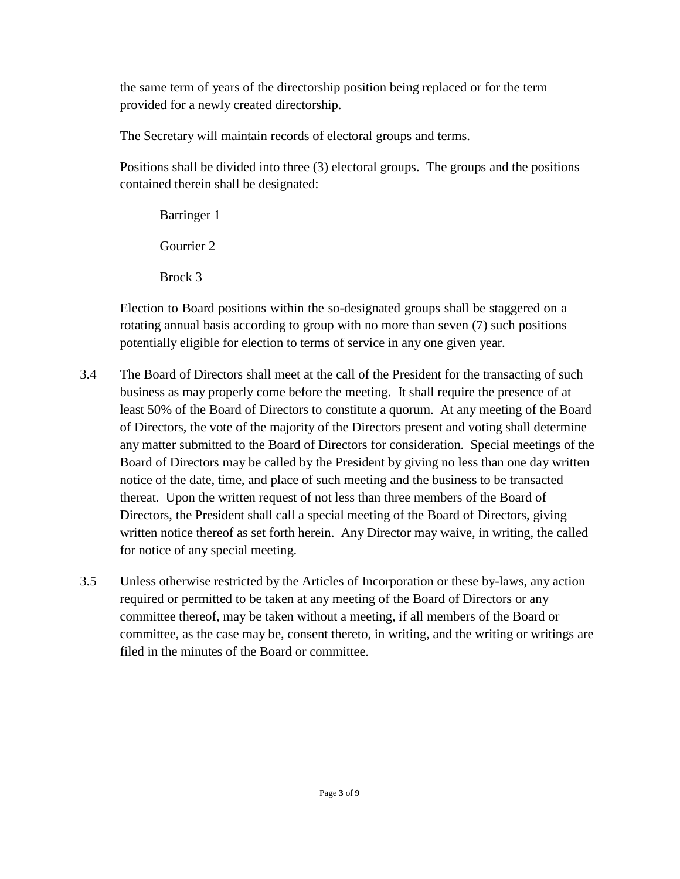the same term of years of the directorship position being replaced or for the term provided for a newly created directorship.

The Secretary will maintain records of electoral groups and terms.

Positions shall be divided into three (3) electoral groups. The groups and the positions contained therein shall be designated:

Barringer 1 Gourrier 2 Brock 3

Election to Board positions within the so-designated groups shall be staggered on a rotating annual basis according to group with no more than seven (7) such positions potentially eligible for election to terms of service in any one given year.

- 3.4 The Board of Directors shall meet at the call of the President for the transacting of such business as may properly come before the meeting. It shall require the presence of at least 50% of the Board of Directors to constitute a quorum. At any meeting of the Board of Directors, the vote of the majority of the Directors present and voting shall determine any matter submitted to the Board of Directors for consideration. Special meetings of the Board of Directors may be called by the President by giving no less than one day written notice of the date, time, and place of such meeting and the business to be transacted thereat. Upon the written request of not less than three members of the Board of Directors, the President shall call a special meeting of the Board of Directors, giving written notice thereof as set forth herein. Any Director may waive, in writing, the called for notice of any special meeting.
- 3.5 Unless otherwise restricted by the Articles of Incorporation or these by-laws, any action required or permitted to be taken at any meeting of the Board of Directors or any committee thereof, may be taken without a meeting, if all members of the Board or committee, as the case may be, consent thereto, in writing, and the writing or writings are filed in the minutes of the Board or committee.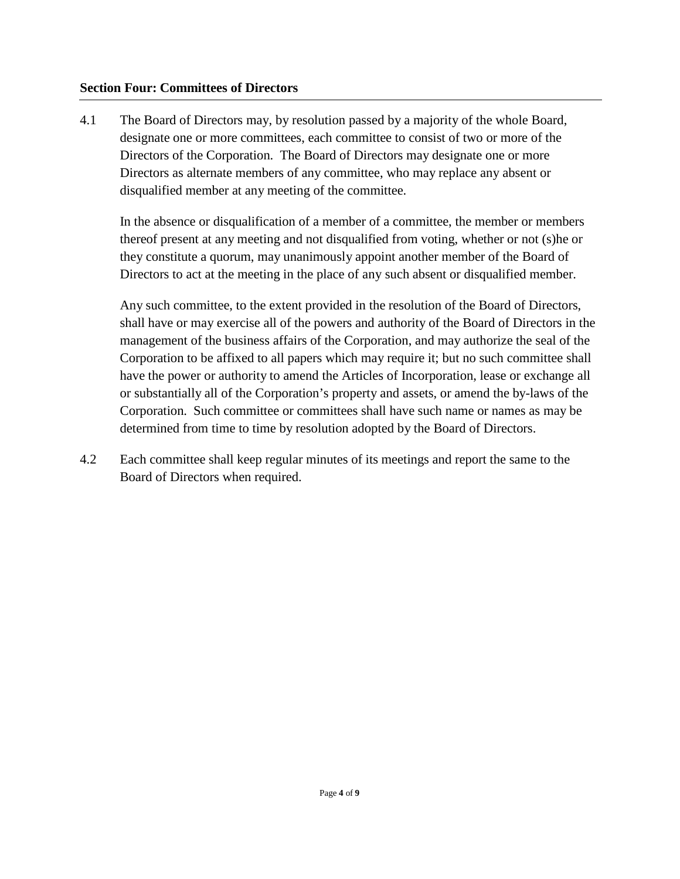#### **Section Four: Committees of Directors**

4.1 The Board of Directors may, by resolution passed by a majority of the whole Board, designate one or more committees, each committee to consist of two or more of the Directors of the Corporation. The Board of Directors may designate one or more Directors as alternate members of any committee, who may replace any absent or disqualified member at any meeting of the committee.

In the absence or disqualification of a member of a committee, the member or members thereof present at any meeting and not disqualified from voting, whether or not (s)he or they constitute a quorum, may unanimously appoint another member of the Board of Directors to act at the meeting in the place of any such absent or disqualified member.

Any such committee, to the extent provided in the resolution of the Board of Directors, shall have or may exercise all of the powers and authority of the Board of Directors in the management of the business affairs of the Corporation, and may authorize the seal of the Corporation to be affixed to all papers which may require it; but no such committee shall have the power or authority to amend the Articles of Incorporation, lease or exchange all or substantially all of the Corporation's property and assets, or amend the by-laws of the Corporation. Such committee or committees shall have such name or names as may be determined from time to time by resolution adopted by the Board of Directors.

4.2 Each committee shall keep regular minutes of its meetings and report the same to the Board of Directors when required.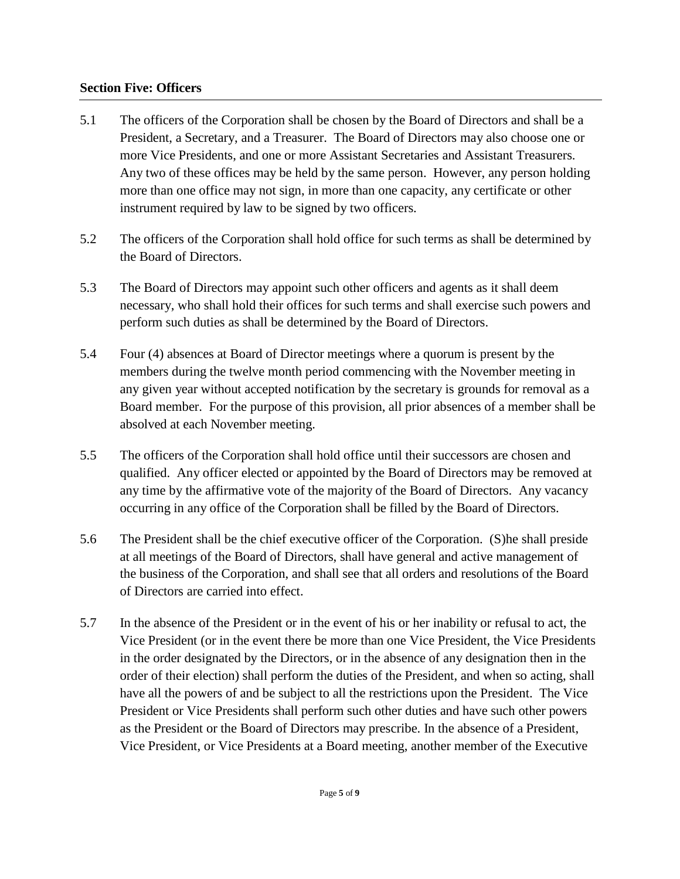# **Section Five: Officers**

- 5.1 The officers of the Corporation shall be chosen by the Board of Directors and shall be a President, a Secretary, and a Treasurer. The Board of Directors may also choose one or more Vice Presidents, and one or more Assistant Secretaries and Assistant Treasurers. Any two of these offices may be held by the same person. However, any person holding more than one office may not sign, in more than one capacity, any certificate or other instrument required by law to be signed by two officers.
- 5.2 The officers of the Corporation shall hold office for such terms as shall be determined by the Board of Directors.
- 5.3 The Board of Directors may appoint such other officers and agents as it shall deem necessary, who shall hold their offices for such terms and shall exercise such powers and perform such duties as shall be determined by the Board of Directors.
- 5.4 Four (4) absences at Board of Director meetings where a quorum is present by the members during the twelve month period commencing with the November meeting in any given year without accepted notification by the secretary is grounds for removal as a Board member. For the purpose of this provision, all prior absences of a member shall be absolved at each November meeting.
- 5.5 The officers of the Corporation shall hold office until their successors are chosen and qualified. Any officer elected or appointed by the Board of Directors may be removed at any time by the affirmative vote of the majority of the Board of Directors. Any vacancy occurring in any office of the Corporation shall be filled by the Board of Directors.
- 5.6 The President shall be the chief executive officer of the Corporation. (S)he shall preside at all meetings of the Board of Directors, shall have general and active management of the business of the Corporation, and shall see that all orders and resolutions of the Board of Directors are carried into effect.
- 5.7 In the absence of the President or in the event of his or her inability or refusal to act, the Vice President (or in the event there be more than one Vice President, the Vice Presidents in the order designated by the Directors, or in the absence of any designation then in the order of their election) shall perform the duties of the President, and when so acting, shall have all the powers of and be subject to all the restrictions upon the President. The Vice President or Vice Presidents shall perform such other duties and have such other powers as the President or the Board of Directors may prescribe. In the absence of a President, Vice President, or Vice Presidents at a Board meeting, another member of the Executive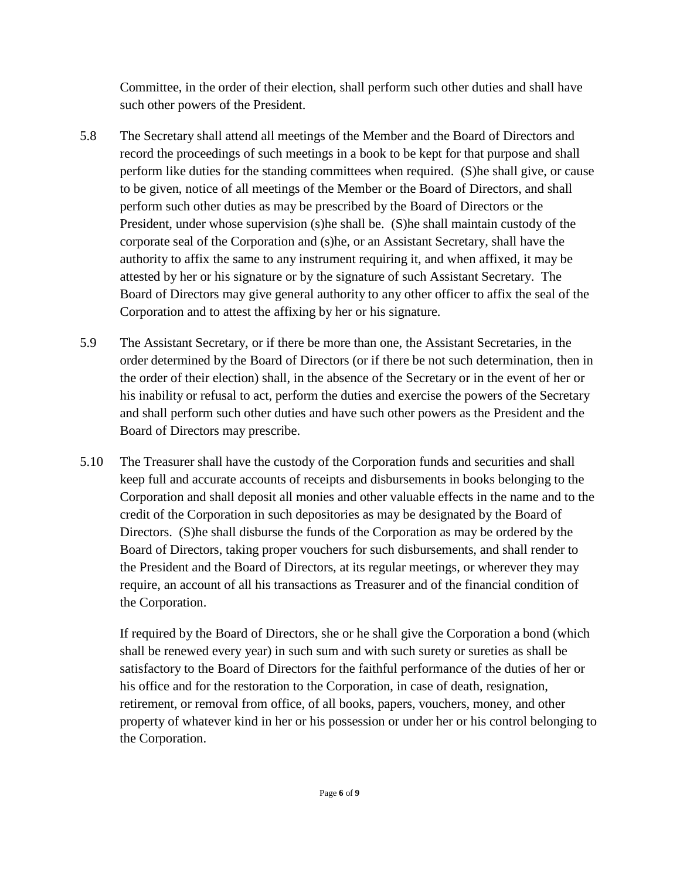Committee, in the order of their election, shall perform such other duties and shall have such other powers of the President.

- 5.8 The Secretary shall attend all meetings of the Member and the Board of Directors and record the proceedings of such meetings in a book to be kept for that purpose and shall perform like duties for the standing committees when required. (S)he shall give, or cause to be given, notice of all meetings of the Member or the Board of Directors, and shall perform such other duties as may be prescribed by the Board of Directors or the President, under whose supervision (s)he shall be. (S)he shall maintain custody of the corporate seal of the Corporation and (s)he, or an Assistant Secretary, shall have the authority to affix the same to any instrument requiring it, and when affixed, it may be attested by her or his signature or by the signature of such Assistant Secretary. The Board of Directors may give general authority to any other officer to affix the seal of the Corporation and to attest the affixing by her or his signature.
- 5.9 The Assistant Secretary, or if there be more than one, the Assistant Secretaries, in the order determined by the Board of Directors (or if there be not such determination, then in the order of their election) shall, in the absence of the Secretary or in the event of her or his inability or refusal to act, perform the duties and exercise the powers of the Secretary and shall perform such other duties and have such other powers as the President and the Board of Directors may prescribe.
- 5.10 The Treasurer shall have the custody of the Corporation funds and securities and shall keep full and accurate accounts of receipts and disbursements in books belonging to the Corporation and shall deposit all monies and other valuable effects in the name and to the credit of the Corporation in such depositories as may be designated by the Board of Directors. (S)he shall disburse the funds of the Corporation as may be ordered by the Board of Directors, taking proper vouchers for such disbursements, and shall render to the President and the Board of Directors, at its regular meetings, or wherever they may require, an account of all his transactions as Treasurer and of the financial condition of the Corporation.

If required by the Board of Directors, she or he shall give the Corporation a bond (which shall be renewed every year) in such sum and with such surety or sureties as shall be satisfactory to the Board of Directors for the faithful performance of the duties of her or his office and for the restoration to the Corporation, in case of death, resignation, retirement, or removal from office, of all books, papers, vouchers, money, and other property of whatever kind in her or his possession or under her or his control belonging to the Corporation.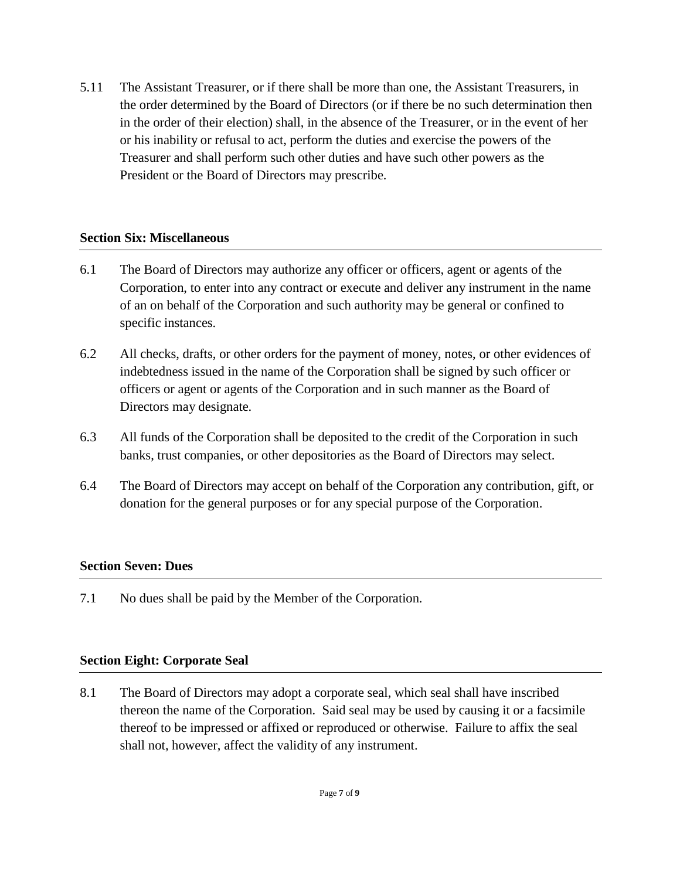5.11 The Assistant Treasurer, or if there shall be more than one, the Assistant Treasurers, in the order determined by the Board of Directors (or if there be no such determination then in the order of their election) shall, in the absence of the Treasurer, or in the event of her or his inability or refusal to act, perform the duties and exercise the powers of the Treasurer and shall perform such other duties and have such other powers as the President or the Board of Directors may prescribe.

# **Section Six: Miscellaneous**

- 6.1 The Board of Directors may authorize any officer or officers, agent or agents of the Corporation, to enter into any contract or execute and deliver any instrument in the name of an on behalf of the Corporation and such authority may be general or confined to specific instances.
- 6.2 All checks, drafts, or other orders for the payment of money, notes, or other evidences of indebtedness issued in the name of the Corporation shall be signed by such officer or officers or agent or agents of the Corporation and in such manner as the Board of Directors may designate.
- 6.3 All funds of the Corporation shall be deposited to the credit of the Corporation in such banks, trust companies, or other depositories as the Board of Directors may select.
- 6.4 The Board of Directors may accept on behalf of the Corporation any contribution, gift, or donation for the general purposes or for any special purpose of the Corporation.

# **Section Seven: Dues**

7.1 No dues shall be paid by the Member of the Corporation.

# **Section Eight: Corporate Seal**

8.1 The Board of Directors may adopt a corporate seal, which seal shall have inscribed thereon the name of the Corporation. Said seal may be used by causing it or a facsimile thereof to be impressed or affixed or reproduced or otherwise. Failure to affix the seal shall not, however, affect the validity of any instrument.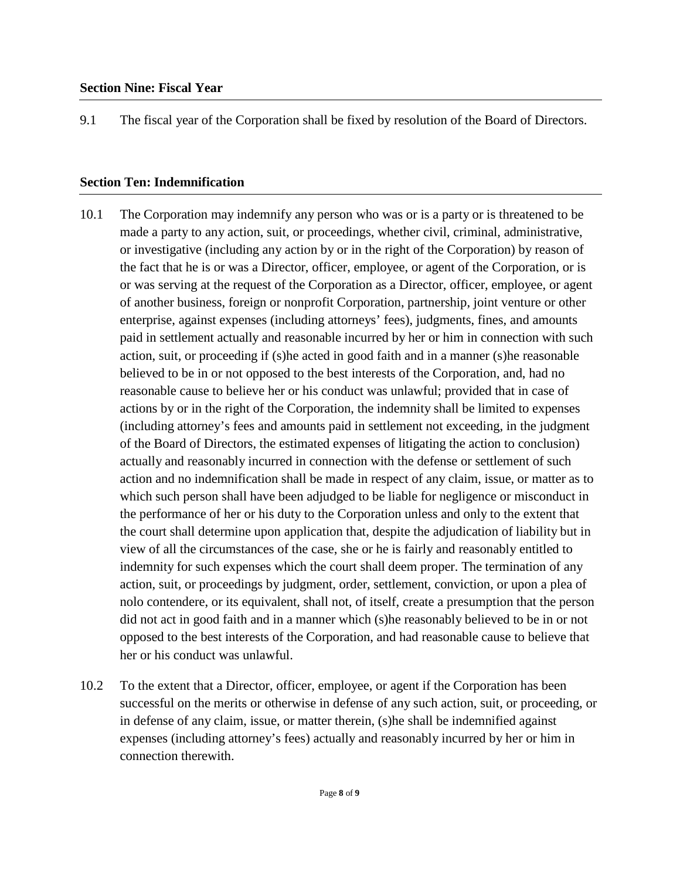9.1 The fiscal year of the Corporation shall be fixed by resolution of the Board of Directors.

#### **Section Ten: Indemnification**

- 10.1 The Corporation may indemnify any person who was or is a party or is threatened to be made a party to any action, suit, or proceedings, whether civil, criminal, administrative, or investigative (including any action by or in the right of the Corporation) by reason of the fact that he is or was a Director, officer, employee, or agent of the Corporation, or is or was serving at the request of the Corporation as a Director, officer, employee, or agent of another business, foreign or nonprofit Corporation, partnership, joint venture or other enterprise, against expenses (including attorneys' fees), judgments, fines, and amounts paid in settlement actually and reasonable incurred by her or him in connection with such action, suit, or proceeding if (s)he acted in good faith and in a manner (s)he reasonable believed to be in or not opposed to the best interests of the Corporation, and, had no reasonable cause to believe her or his conduct was unlawful; provided that in case of actions by or in the right of the Corporation, the indemnity shall be limited to expenses (including attorney's fees and amounts paid in settlement not exceeding, in the judgment of the Board of Directors, the estimated expenses of litigating the action to conclusion) actually and reasonably incurred in connection with the defense or settlement of such action and no indemnification shall be made in respect of any claim, issue, or matter as to which such person shall have been adjudged to be liable for negligence or misconduct in the performance of her or his duty to the Corporation unless and only to the extent that the court shall determine upon application that, despite the adjudication of liability but in view of all the circumstances of the case, she or he is fairly and reasonably entitled to indemnity for such expenses which the court shall deem proper. The termination of any action, suit, or proceedings by judgment, order, settlement, conviction, or upon a plea of nolo contendere, or its equivalent, shall not, of itself, create a presumption that the person did not act in good faith and in a manner which (s)he reasonably believed to be in or not opposed to the best interests of the Corporation, and had reasonable cause to believe that her or his conduct was unlawful.
- 10.2 To the extent that a Director, officer, employee, or agent if the Corporation has been successful on the merits or otherwise in defense of any such action, suit, or proceeding, or in defense of any claim, issue, or matter therein, (s)he shall be indemnified against expenses (including attorney's fees) actually and reasonably incurred by her or him in connection therewith.